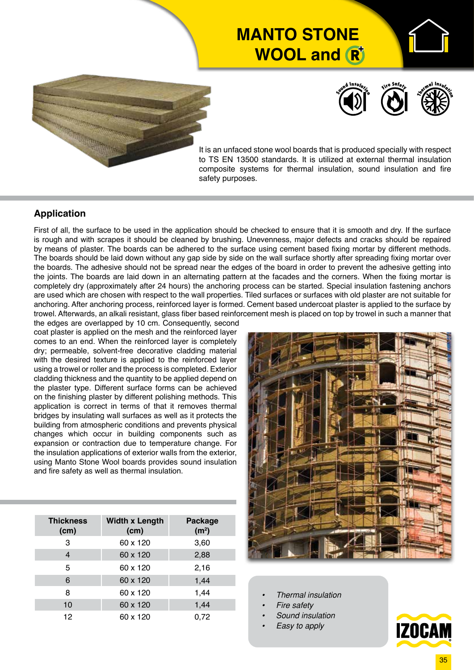# **MANTO STONE WOOL and**







It is an unfaced stone wool boards that is produced specially with respect to TS EN 13500 standards. It is utilized at external thermal insulation composite systems for thermal insulation, sound insulation and fire safety purposes.

#### **Application**

First of all, the surface to be used in the application should be checked to ensure that it is smooth and dry. If the surface is rough and with scrapes it should be cleaned by brushing. Unevenness, major defects and cracks should be repaired by means of plaster. The boards can be adhered to the surface using cement based fixing mortar by different methods. The boards should be laid down without any gap side by side on the wall surface shortly after spreading fixing mortar over the boards. The adhesive should not be spread near the edges of the board in order to prevent the adhesive getting into the joints. The boards are laid down in an alternating pattern at the facades and the corners. When the fixing mortar is completely dry (approximately after 24 hours) the anchoring process can be started. Special insulation fastening anchors are used which are chosen with respect to the wall properties. Tiled surfaces or surfaces with old plaster are not suitable for anchoring. After anchoring process, reinforced layer is formed. Cement based undercoat plaster is applied to the surface by trowel. Afterwards, an alkali resistant, glass fiber based reinforcement mesh is placed on top by trowel in such a manner that

the edges are overlapped by 10 cm. Consequently, second coat plaster is applied on the mesh and the reinforced layer comes to an end. When the reinforced layer is completely dry; permeable, solvent-free decorative cladding material with the desired texture is applied to the reinforced layer using a trowel or roller and the process is completed. Exterior cladding thickness and the quantity to be applied depend on the plaster type. Different surface forms can be achieved on the finishing plaster by different polishing methods. This application is correct in terms of that it removes thermal bridges by insulating wall surfaces as well as it protects the building from atmospheric conditions and prevents physical changes which occur in building components such as expansion or contraction due to temperature change. For the insulation applications of exterior walls from the exterior, using Manto Stone Wool boards provides sound insulation and fire safety as well as thermal insulation.

| <b>Thickness</b><br>(cm) | <b>Width x Length</b><br>(cm) | Package<br>(m <sup>2</sup> ) |  |  |  |
|--------------------------|-------------------------------|------------------------------|--|--|--|
| 3                        | 60 x 120                      | 3,60                         |  |  |  |
| 4                        | 60 x 120                      | 2,88                         |  |  |  |
|                          |                               |                              |  |  |  |
| 5                        | 60 x 120                      | 2,16                         |  |  |  |
| 6                        | 60 x 120                      | 1,44                         |  |  |  |
| 8                        | 60 x 120                      | 1,44                         |  |  |  |
| 10                       | 60 x 120                      | 1,44                         |  |  |  |
| 12                       | 60 x 120                      | 0,72                         |  |  |  |



- *• Thermal insulation*
- *• Fire safety*
- *• Sound insulation*
- *• Easy to apply*